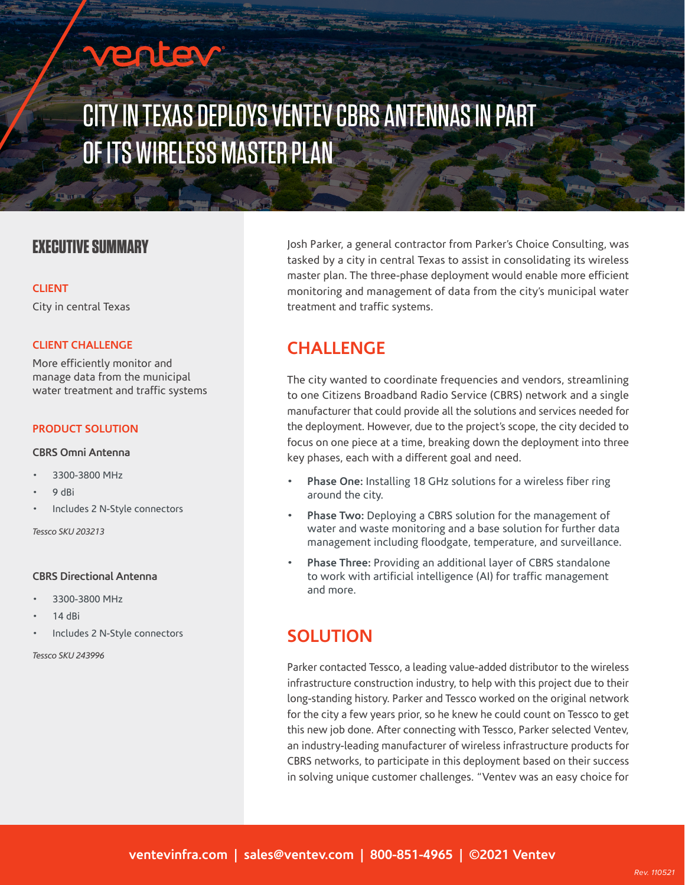# enter

## CITY IN TEXAS DEPLOYS VENTEV CBRS ANTENNAS IN PART OF ITS WIRELESS MASTER PLAN

### **EXECUTIVE SUMMARY**

#### **CLIENT**

City in central Texas

#### **CLIENT CHALLENGE**

More efficiently monitor and manage data from the municipal water treatment and traffic systems

#### **PRODUCT SOLUTION**

#### **CBRS Omni Antenna**

- 3300-3800 MHz
- 9 dBi
- Includes 2 N-Style connectors

*Tessco SKU 203213* 

#### **CBRS Directional Antenna**

- 3300-3800 MHz
- 14 dBi
- Includes 2 N-Style connectors

*Tessco SKU 243996* 

Josh Parker, a general contractor from Parker's Choice Consulting, was tasked by a city in central Texas to assist in consolidating its wireless master plan. The three-phase deployment would enable more efficient monitoring and management of data from the city's municipal water treatment and traffic systems.

### **CHALLENGE**

The city wanted to coordinate frequencies and vendors, streamlining to one Citizens Broadband Radio Service (CBRS) network and a single manufacturer that could provide all the solutions and services needed for the deployment. However, due to the project's scope, the city decided to focus on one piece at a time, breaking down the deployment into three key phases, each with a different goal and need.

- **• Phase One:** Installing 18 GHz solutions for a wireless fiber ring around the city.
- **• Phase Two:** Deploying a CBRS solution for the management of water and waste monitoring and a base solution for further data management including floodgate, temperature, and surveillance.
- **• Phase Three:** Providing an additional layer of CBRS standalone to work with artificial intelligence (AI) for traffic management and more.

### **SOLUTION**

Parker contacted Tessco, a leading value-added distributor to the wireless infrastructure construction industry, to help with this project due to their long-standing history. Parker and Tessco worked on the original network for the city a few years prior, so he knew he could count on Tessco to get this new job done. After connecting with Tessco, Parker selected Ventev, an industry-leading manufacturer of wireless infrastructure products for CBRS networks, to participate in this deployment based on their success in solving unique customer challenges. "Ventev was an easy choice for